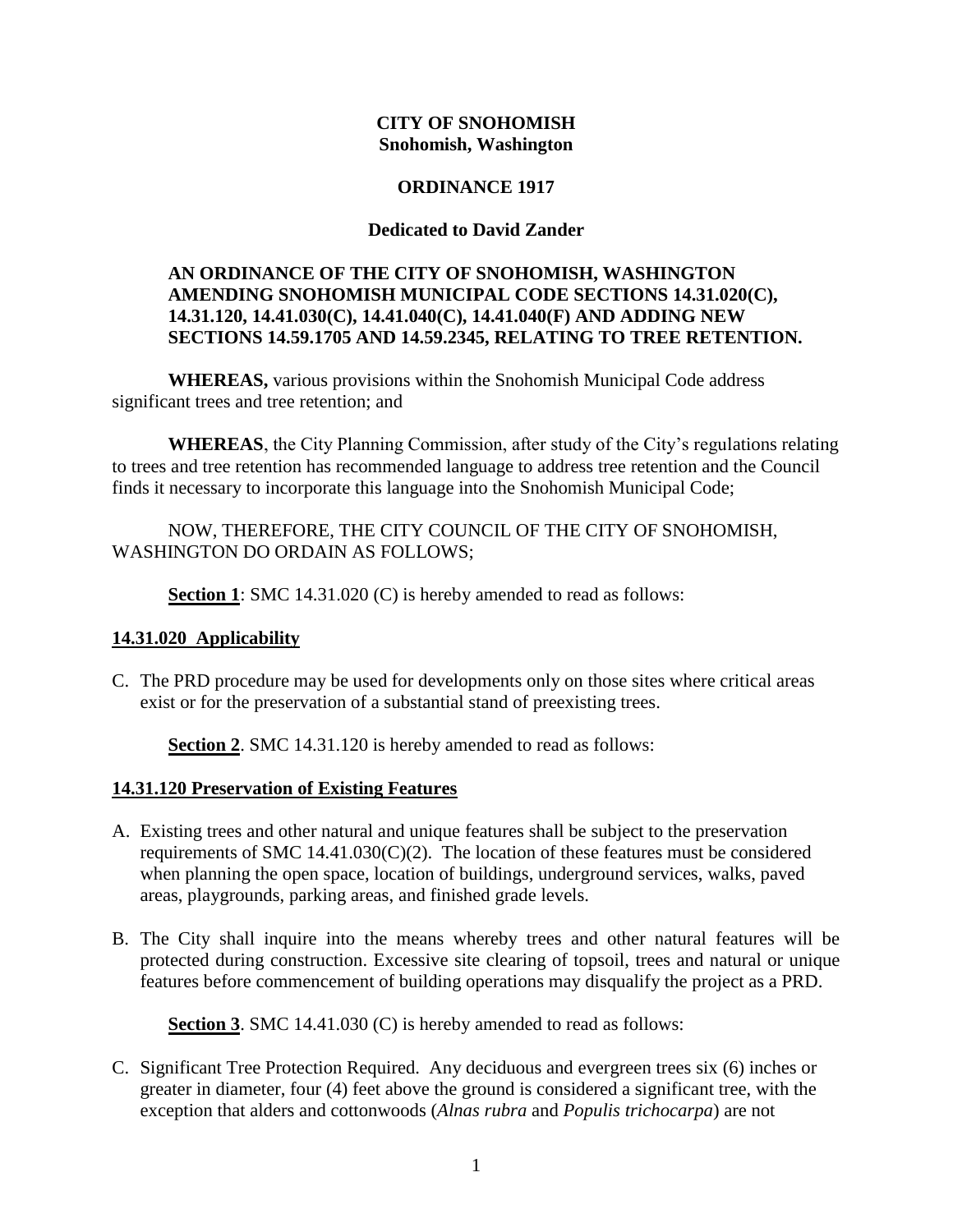#### **CITY OF SNOHOMISH Snohomish, Washington**

## **ORDINANCE 1917**

#### **Dedicated to David Zander**

## **AN ORDINANCE OF THE CITY OF SNOHOMISH, WASHINGTON AMENDING SNOHOMISH MUNICIPAL CODE SECTIONS 14.31.020(C), 14.31.120, 14.41.030(C), 14.41.040(C), 14.41.040(F) AND ADDING NEW SECTIONS 14.59.1705 AND 14.59.2345, RELATING TO TREE RETENTION.**

**WHEREAS,** various provisions within the Snohomish Municipal Code address significant trees and tree retention; and

**WHEREAS**, the City Planning Commission, after study of the City's regulations relating to trees and tree retention has recommended language to address tree retention and the Council finds it necessary to incorporate this language into the Snohomish Municipal Code;

# NOW, THEREFORE, THE CITY COUNCIL OF THE CITY OF SNOHOMISH, WASHINGTON DO ORDAIN AS FOLLOWS;

**Section 1**: SMC 14.31.020 (C) is hereby amended to read as follows:

# **14.31.020 Applicability**

C. The PRD procedure may be used for developments only on those sites where critical areas exist or for the preservation of a substantial stand of preexisting trees.

**Section 2**. SMC 14.31.120 is hereby amended to read as follows:

# **14.31.120 Preservation of Existing Features**

- A. Existing trees and other natural and unique features shall be subject to the preservation requirements of SMC 14.41.030(C)(2). The location of these features must be considered when planning the open space, location of buildings, underground services, walks, paved areas, playgrounds, parking areas, and finished grade levels.
- B. The City shall inquire into the means whereby trees and other natural features will be protected during construction. Excessive site clearing of topsoil, trees and natural or unique features before commencement of building operations may disqualify the project as a PRD.

**Section 3**. SMC 14.41.030 (C) is hereby amended to read as follows:

C. Significant Tree Protection Required. Any deciduous and evergreen trees six (6) inches or greater in diameter, four (4) feet above the ground is considered a significant tree, with the exception that alders and cottonwoods (*Alnas rubra* and *Populis trichocarpa*) are not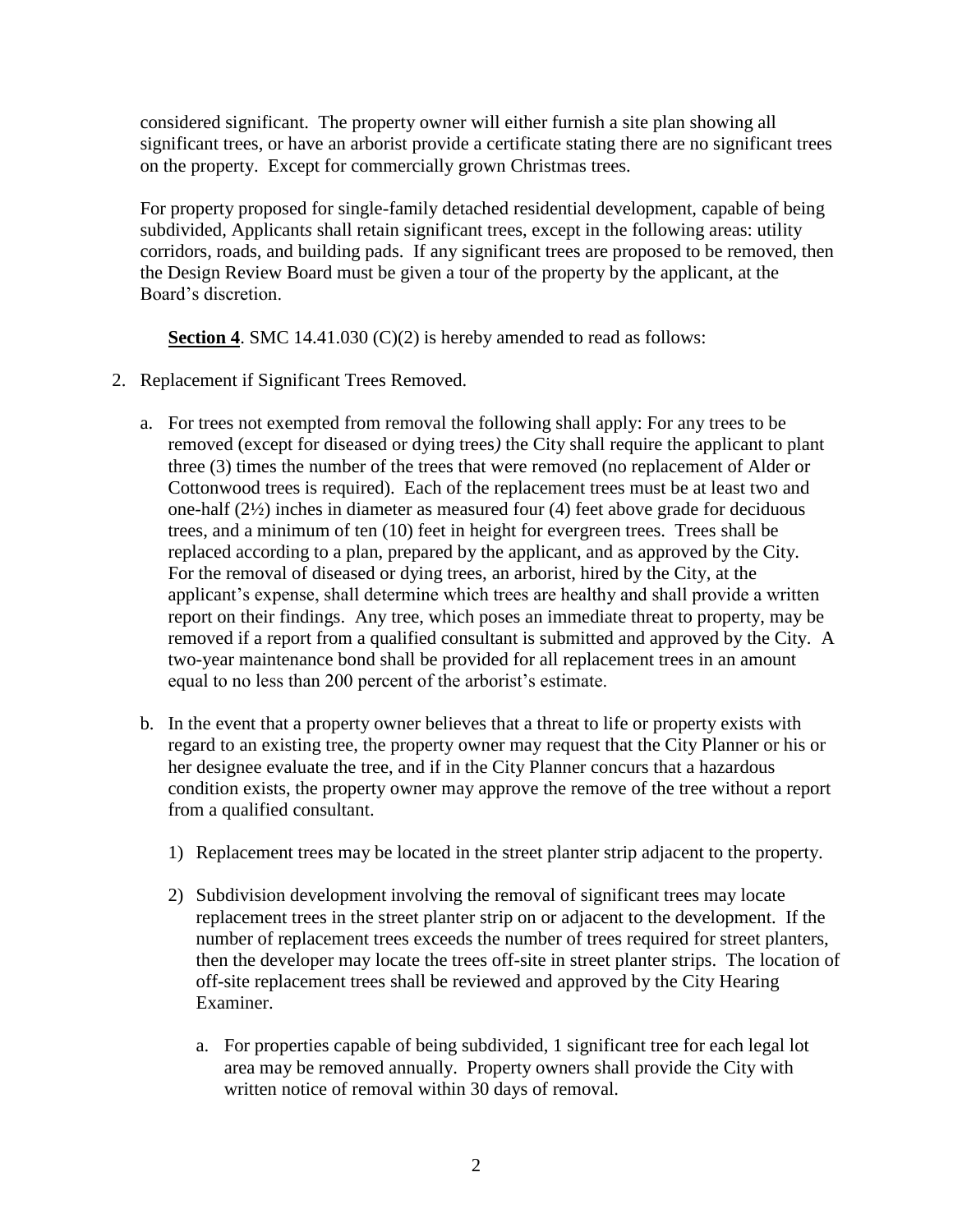considered significant. The property owner will either furnish a site plan showing all significant trees, or have an arborist provide a certificate stating there are no significant trees on the property. Except for commercially grown Christmas trees*.*

For property proposed for single-family detached residential development, capable of being subdivided*,* Applicant*s* shall retain significant trees, except in the following areas: utility corridors, roads, and building pads. If any significant trees are proposed to be removed, then the Design Review Board must be given a tour of the property by the applicant, at the Board's discretion.

**Section 4. SMC 14.41.030 (C)(2) is hereby amended to read as follows:** 

- 2. Replacement if Significant Trees Removed.
	- a. For trees not exempted from removal the following shall apply: For any trees to be removed (except for diseased or dying trees*)* the City shall require the applicant to plant three (3) times the number of the trees that were removed (no replacement of Alder or Cottonwood trees is required). Each of the replacement trees must be at least two and one-half (2½) inches in diameter as measured four (4) feet above grade for deciduous trees, and a minimum of ten (10) feet in height for evergreen trees. Trees shall be replaced according to a plan, prepared by the applicant, and as approved by the City. For the removal of diseased or dying trees, an arborist, hired by the City, at the applicant's expense, shall determine which trees are healthy and shall provide a written report on their findings. Any tree, which poses an immediate threat to property, may be removed if a report from a qualified consultant is submitted and approved by the City. A two-year maintenance bond shall be provided for all replacement trees in an amount equal to no less than 200 percent of the arborist's estimate.
	- b. In the event that a property owner believes that a threat to life or property exists with regard to an existing tree, the property owner may request that the City Planner or his or her designee evaluate the tree, and if in the City Planner concurs that a hazardous condition exists, the property owner may approve the remove of the tree without a report from a qualified consultant.
		- 1) Replacement trees may be located in the street planter strip adjacent to the property.
		- 2) Subdivision development involving the removal of significant trees may locate replacement trees in the street planter strip on or adjacent to the development. If the number of replacement trees exceeds the number of trees required for street planters, then the developer may locate the trees off-site in street planter strips. The location of off-site replacement trees shall be reviewed and approved by the City Hearing Examiner.
			- a. For properties capable of being subdivided, 1 significant tree for each legal lot area may be removed annually. Property owners shall provide the City with written notice of removal within 30 days of removal.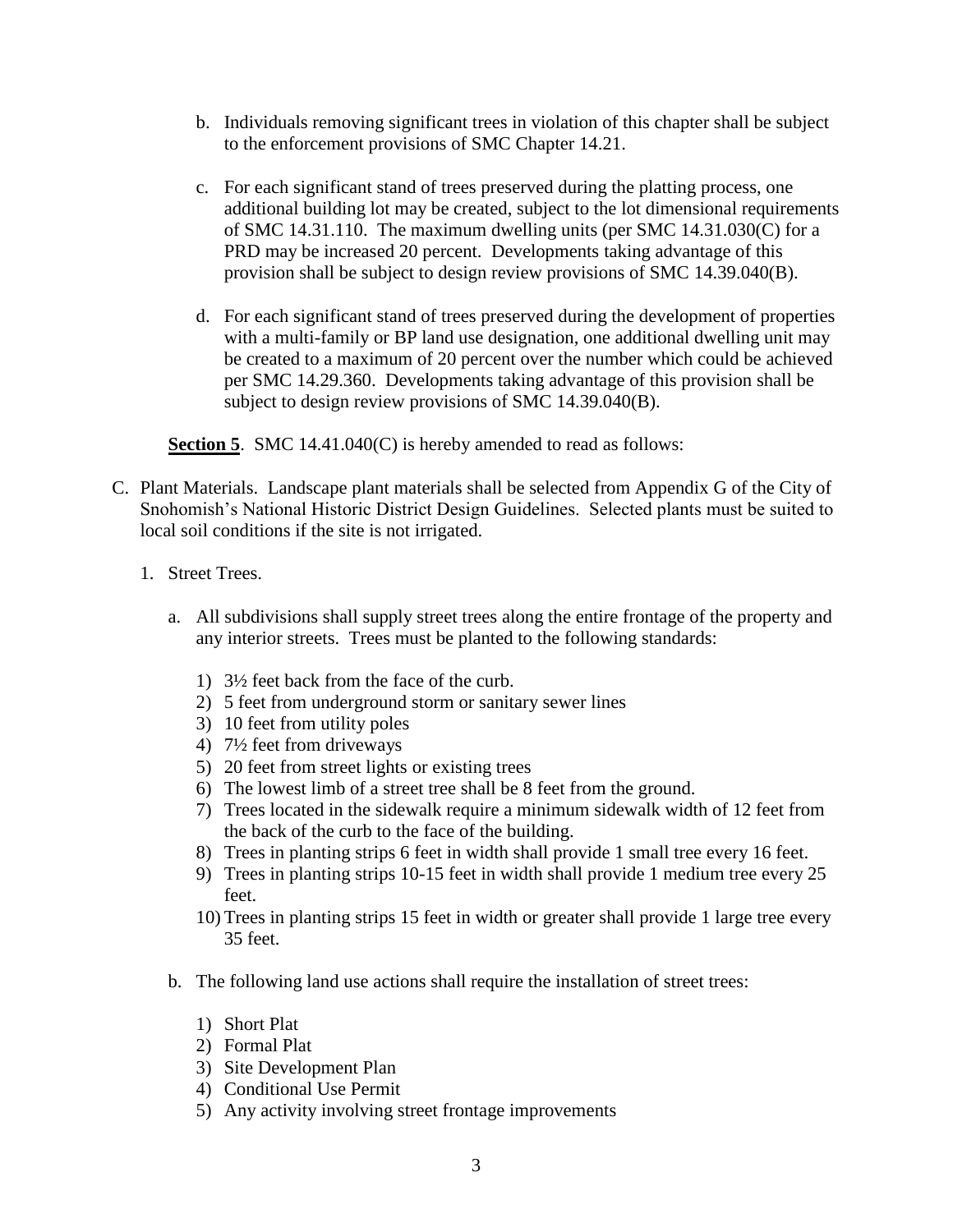- b. Individuals removing significant trees in violation of this chapter shall be subject to the enforcement provisions of SMC Chapter 14.21.
- c. For each significant stand of trees preserved during the platting process, one additional building lot may be created, subject to the lot dimensional requirements of SMC 14.31.110. The maximum dwelling units (per SMC 14.31.030(C) for a PRD may be increased 20 percent. Developments taking advantage of this provision shall be subject to design review provisions of SMC 14.39.040(B).
- d. For each significant stand of trees preserved during the development of properties with a multi-family or BP land use designation, one additional dwelling unit may be created to a maximum of 20 percent over the number which could be achieved per SMC 14.29.360. Developments taking advantage of this provision shall be subject to design review provisions of SMC 14.39.040(B).

**Section 5.** SMC 14.41.040(C) is hereby amended to read as follows:

- C. Plant Materials. Landscape plant materials shall be selected from Appendix G of the City of Snohomish's National Historic District Design Guidelines. Selected plants must be suited to local soil conditions if the site is not irrigated.
	- 1. Street Trees.
		- a. All subdivisions shall supply street trees along the entire frontage of the property and any interior streets. Trees must be planted to the following standards:
			- 1) 3½ feet back from the face of the curb.
			- 2) 5 feet from underground storm or sanitary sewer lines
			- 3) 10 feet from utility poles
			- 4) 7½ feet from driveways
			- 5) 20 feet from street lights or existing trees
			- 6) The lowest limb of a street tree shall be 8 feet from the ground.
			- 7) Trees located in the sidewalk require a minimum sidewalk width of 12 feet from the back of the curb to the face of the building.
			- 8) Trees in planting strips 6 feet in width shall provide 1 small tree every 16 feet.
			- 9) Trees in planting strips 10-15 feet in width shall provide 1 medium tree every 25 feet.
			- 10) Trees in planting strips 15 feet in width or greater shall provide 1 large tree every 35 feet.
		- b. The following land use actions shall require the installation of street trees:
			- 1) Short Plat
			- 2) Formal Plat
			- 3) Site Development Plan
			- 4) Conditional Use Permit
			- 5) Any activity involving street frontage improvements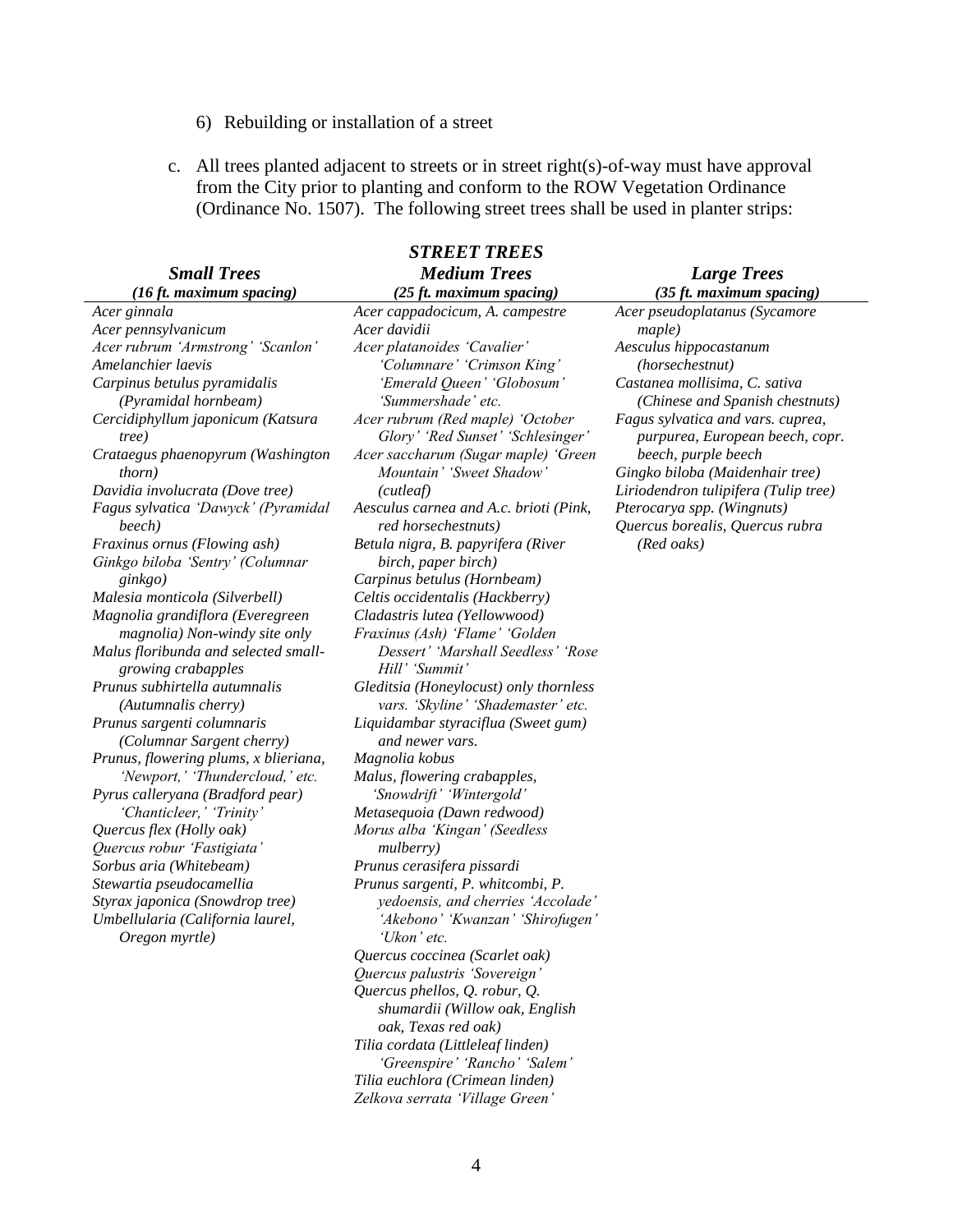## 6) Rebuilding or installation of a street

c. All trees planted adjacent to streets or in street right(s)-of-way must have approval from the City prior to planting and conform to the ROW Vegetation Ordinance (Ordinance No. 1507). The following street trees shall be used in planter strips:

| <b>STREET TREES</b>                                        |                                                                       |                                                                      |
|------------------------------------------------------------|-----------------------------------------------------------------------|----------------------------------------------------------------------|
| <b>Small Trees</b>                                         | <b>Medium Trees</b>                                                   | <b>Large Trees</b>                                                   |
| $(16 \text{ ft. maximum spacing})$                         | (25 ft. maximum spacing)                                              | (35 ft. maximum spacing)                                             |
| Acer ginnala                                               | Acer cappadocicum, A. campestre                                       | Acer pseudoplatanus (Sycamore                                        |
| Acer pennsylvanicum                                        | Acer davidii                                                          | maple)                                                               |
| Acer rubrum 'Armstrong' 'Scanlon'                          | Acer platanoides 'Cavalier'                                           | Aesculus hippocastanum                                               |
| Amelanchier laevis                                         | 'Columnare' 'Crimson King'                                            | (horsechestnut)                                                      |
| Carpinus betulus pyramidalis<br>(Pyramidal hornbeam)       | 'Emerald Queen' 'Globosum'<br>'Summershade' etc.                      | Castanea mollisima, C. sativa<br>(Chinese and Spanish chestnuts)     |
| Cercidiphyllum japonicum (Katsura<br>tree)                 | Acer rubrum (Red maple) 'October<br>Glory' 'Red Sunset' 'Schlesinger' | Fagus sylvatica and vars. cuprea,<br>purpurea, European beech, copr. |
| Crataegus phaenopyrum (Washington<br><i>thorn</i> )        | Acer saccharum (Sugar maple) 'Green<br>Mountain' 'Sweet Shadow'       | beech, purple beech<br>Gingko biloba (Maidenhair tree)               |
| Davidia involucrata (Dove tree)                            | (cutleaf)                                                             | Liriodendron tulipifera (Tulip tree)                                 |
| Fagus sylvatica 'Dawyck' (Pyramidal<br>beech)              | Aesculus carnea and A.c. brioti (Pink,<br>red horsechestnuts)         | Pterocarya spp. (Wingnuts)<br>Quercus borealis, Quercus rubra        |
| Fraxinus ornus (Flowing ash)                               | Betula nigra, B. papyrifera (River                                    | (Red oaks)                                                           |
| Ginkgo biloba 'Sentry' (Columnar                           | birch, paper birch)                                                   |                                                                      |
| ginkgo)                                                    | Carpinus betulus (Hornbeam)                                           |                                                                      |
| Malesia monticola (Silverbell)                             | Celtis occidentalis (Hackberry)                                       |                                                                      |
| Magnolia grandiflora (Everegreen                           | Cladastris lutea (Yellowwood)                                         |                                                                      |
| magnolia) Non-windy site only                              | Fraxinus (Ash) 'Flame' 'Golden                                        |                                                                      |
| Malus floribunda and selected small-<br>growing crabapples | Dessert' 'Marshall Seedless' 'Rose<br>Hill' 'Summit'                  |                                                                      |
| Prunus subhirtella autumnalis                              | Gleditsia (Honeylocust) only thornless                                |                                                                      |
| (Autumnalis cherry)                                        | vars. 'Skyline' 'Shademaster' etc.                                    |                                                                      |
| Prunus sargenti columnaris                                 | Liquidambar styraciflua (Sweet gum)                                   |                                                                      |
| (Columnar Sargent cherry)                                  | and newer vars.                                                       |                                                                      |
| Prunus, flowering plums, x blieriana,                      | Magnolia kobus                                                        |                                                                      |
| 'Newport,' 'Thundercloud,' etc.                            | Malus, flowering crabapples,                                          |                                                                      |
| Pyrus calleryana (Bradford pear)                           | 'Snowdrift' 'Wintergold'                                              |                                                                      |
| 'Chanticleer,' 'Trinity'                                   | Metasequoia (Dawn redwood)                                            |                                                                      |
| Quercus flex (Holly oak)                                   | Morus alba 'Kingan' (Seedless                                         |                                                                      |
| Quercus robur 'Fastigiata'                                 | mulberry)                                                             |                                                                      |
| Sorbus aria (Whitebeam)                                    | Prunus cerasifera pissardi                                            |                                                                      |
| Stewartia pseudocamellia                                   | Prunus sargenti, P. whitcombi, P.                                     |                                                                      |
| Styrax japonica (Snowdrop tree)                            | yedoensis, and cherries 'Accolade'                                    |                                                                      |
| Umbellularia (California laurel,<br>Oregon myrtle)         | 'Akebono' 'Kwanzan' 'Shirofugen'<br>'Ukon' etc.                       |                                                                      |
|                                                            | Quercus coccinea (Scarlet oak)                                        |                                                                      |
|                                                            | Quercus palustris 'Sovereign'                                         |                                                                      |
|                                                            | Quercus phellos, Q. robur, Q.                                         |                                                                      |
|                                                            | shumardii (Willow oak, English                                        |                                                                      |
|                                                            | oak, Texas red oak)                                                   |                                                                      |
|                                                            | Tilia cordata (Littleleaf linden)                                     |                                                                      |
|                                                            | 'Greenspire' 'Rancho' 'Salem'                                         |                                                                      |

*Tilia euchlora (Crimean linden) Zelkova serrata 'Village Green'*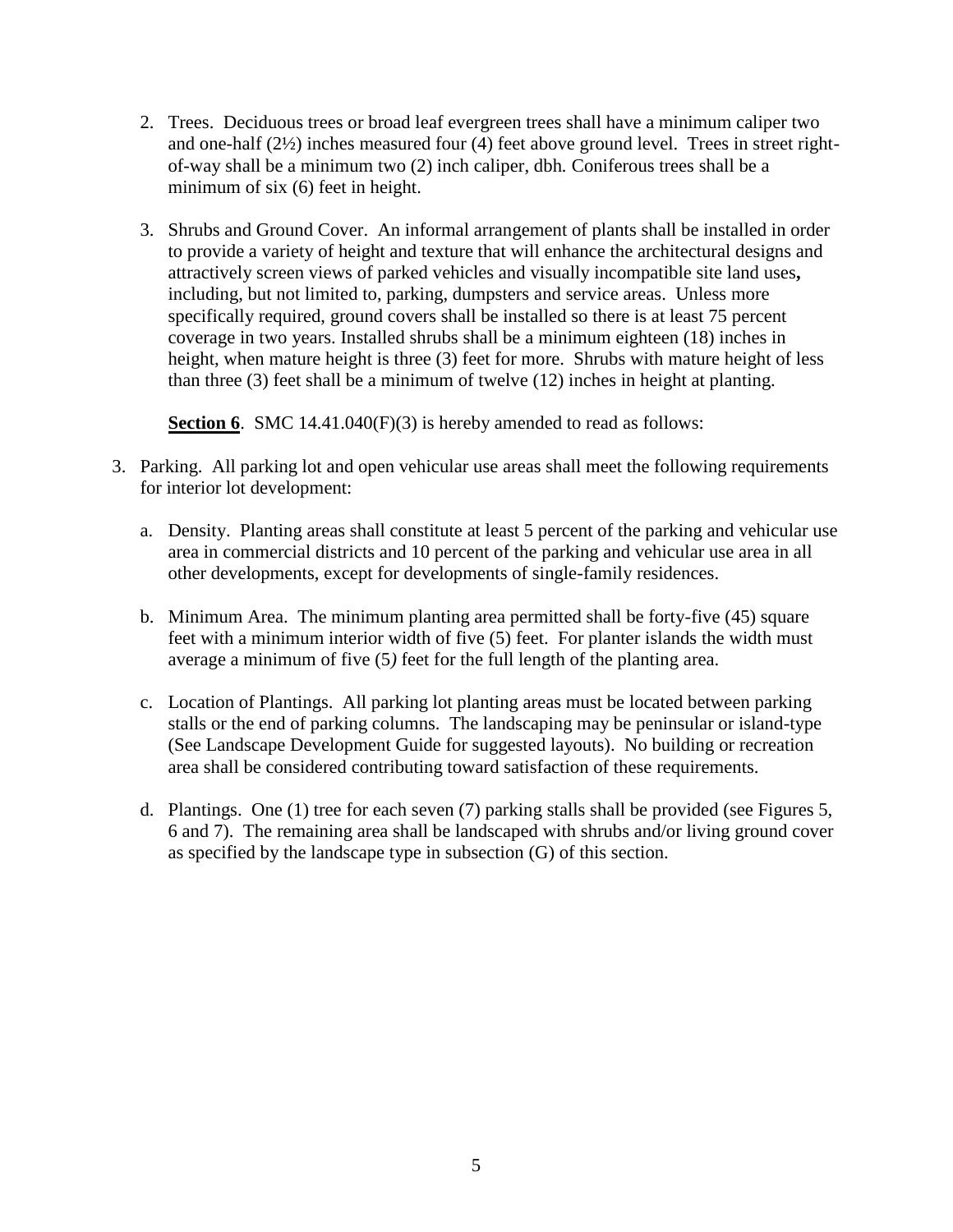- 2. Trees. Deciduous trees or broad leaf evergreen trees shall have a minimum caliper two and one-half (2½) inches measured four (4) feet above ground level. Trees in street rightof-way shall be a minimum two (2) inch caliper, dbh*.* Coniferous trees shall be a minimum of six (6) feet in height.
- 3. Shrubs and Ground Cover. An informal arrangement of plants shall be installed in order to provide a variety of height and texture that will enhance the architectural designs and attractively screen views of parked vehicles and visually incompatible site land uses**,** including, but not limited to, parking, dumpsters and service areas. Unless more specifically required, ground covers shall be installed so there is at least 75 percent coverage in two years. Installed shrubs shall be a minimum eighteen (18) inches in height, when mature height is three (3) feet for more. Shrubs with mature height of less than three (3) feet shall be a minimum of twelve (12) inches in height at planting.

**Section 6.** SMC 14.41.040(F)(3) is hereby amended to read as follows:

- 3. Parking. All parking lot and open vehicular use areas shall meet the following requirements for interior lot development:
	- a. Density. Planting areas shall constitute at least 5 percent of the parking and vehicular use area in commercial districts and 10 percent of the parking and vehicular use area in all other developments, except for developments of single-family residences.
	- b. Minimum Area. The minimum planting area permitted shall be forty-five (45) square feet with a minimum interior width of five (5) feet. For planter islands the width must average a minimum of five (5*)* feet for the full length of the planting area.
	- c. Location of Plantings. All parking lot planting areas must be located between parking stalls or the end of parking columns. The landscaping may be peninsular or island-type (See Landscape Development Guide for suggested layouts). No building or recreation area shall be considered contributing toward satisfaction of these requirements.
	- d. Plantings. One (1) tree for each seven (7) parking stalls shall be provided (see Figures 5, 6 and 7). The remaining area shall be landscaped with shrubs and/or living ground cover as specified by the landscape type in subsection (G) of this section.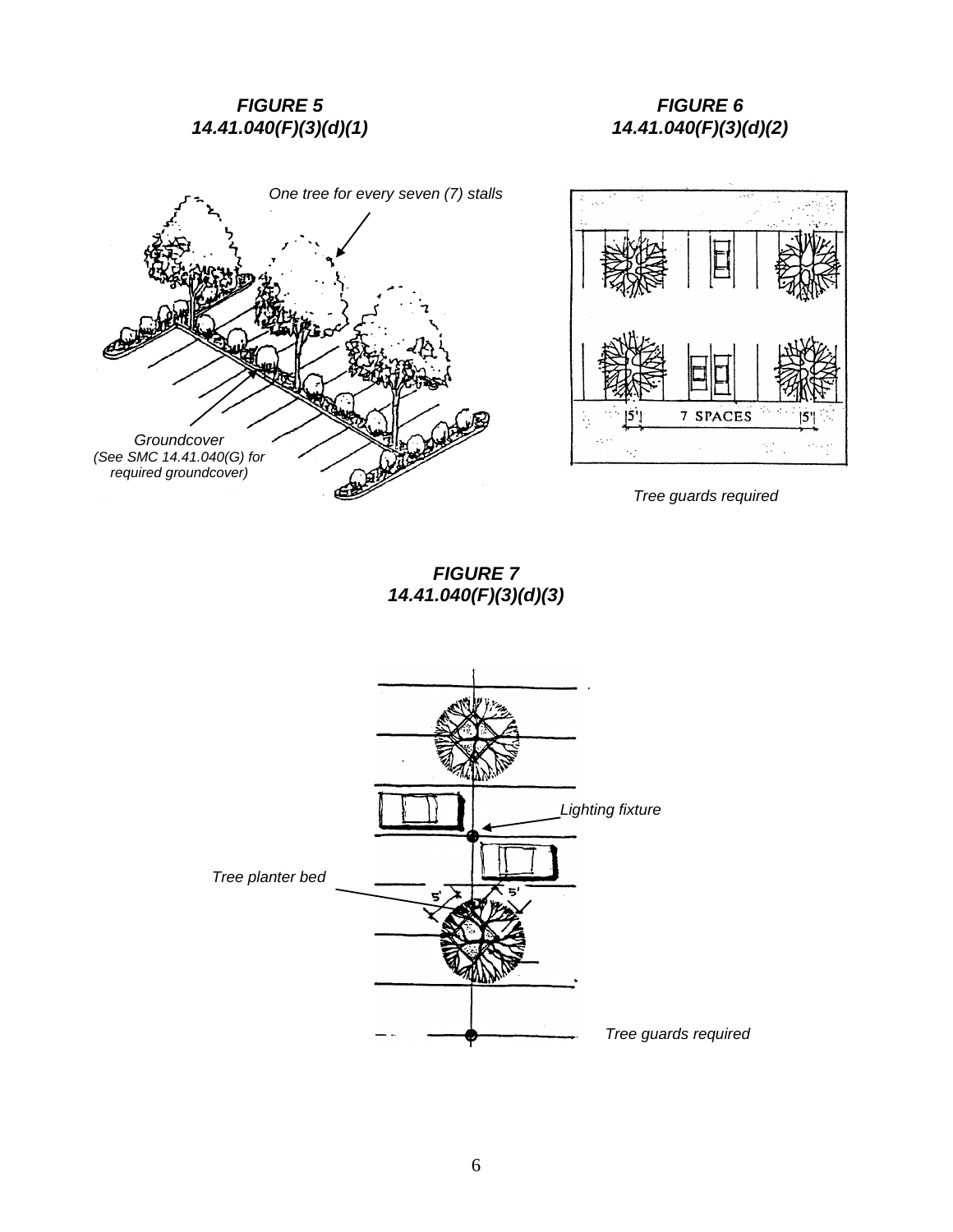# *FIGURE 5 14.41.040(F)(3)(d)(1)*

# *One tree for every seven (7) stalls Groundcover (See SMC 14.41.040(G) for required groundcover)*

# *FIGURE 6 14.41.040(F)(3)(d)(2)*



*Tree guards required*

*FIGURE 7 14.41.040(F)(3)(d)(3)*